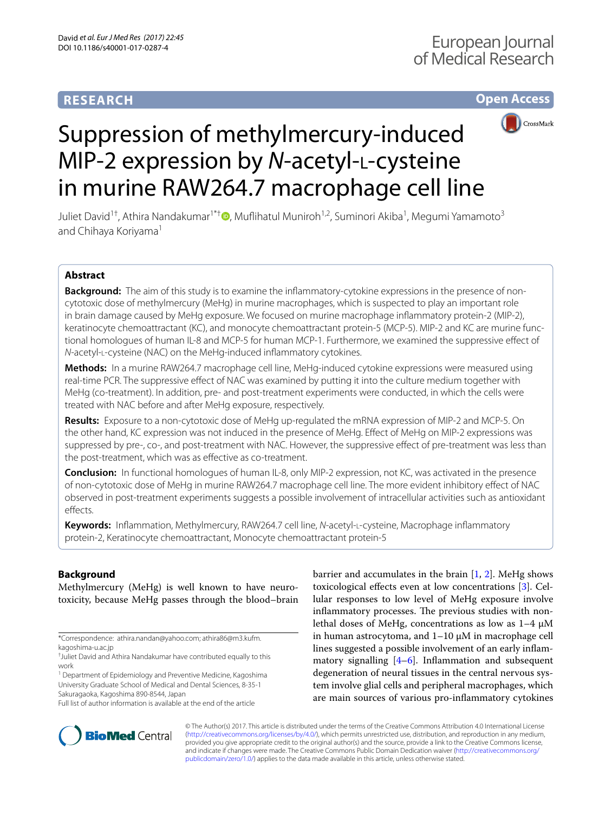# **RESEARCH**





# Suppression of methylmercury-induced MIP-2 expression by *N*-acetyl-l-cysteine in murine RAW264.7 macrophage cell line

Juliet David<sup>1[†](http://orcid.org/0000-0001-5156-7304)</sup>, Athira Nandakumar<sup>1\*†</sup>®, Muflihatul Muniroh<sup>1,2</sup>, Suminori Akiba<sup>1</sup>, Megumi Yamamoto<sup>3</sup> and Chihaya Koriyama<sup>1</sup>

# **Abstract**

**Background:** The aim of this study is to examine the infammatory-cytokine expressions in the presence of noncytotoxic dose of methylmercury (MeHg) in murine macrophages, which is suspected to play an important role in brain damage caused by MeHg exposure. We focused on murine macrophage infammatory protein-2 (MIP-2), keratinocyte chemoattractant (KC), and monocyte chemoattractant protein-5 (MCP-5). MIP-2 and KC are murine functional homologues of human IL-8 and MCP-5 for human MCP-1. Furthermore, we examined the suppressive efect of *N*-acetyl-L-cysteine (NAC) on the MeHg-induced inflammatory cytokines.

**Methods:** In a murine RAW264.7 macrophage cell line, MeHg-induced cytokine expressions were measured using real-time PCR. The suppressive efect of NAC was examined by putting it into the culture medium together with MeHg (co-treatment). In addition, pre- and post-treatment experiments were conducted, in which the cells were treated with NAC before and after MeHg exposure, respectively.

**Results:** Exposure to a non-cytotoxic dose of MeHg up-regulated the mRNA expression of MIP-2 and MCP-5. On the other hand, KC expression was not induced in the presence of MeHg. Efect of MeHg on MIP-2 expressions was suppressed by pre-, co-, and post-treatment with NAC. However, the suppressive efect of pre-treatment was less than the post-treatment, which was as efective as co-treatment.

**Conclusion:** In functional homologues of human IL-8, only MIP-2 expression, not KC, was activated in the presence of non-cytotoxic dose of MeHg in murine RAW264.7 macrophage cell line. The more evident inhibitory efect of NAC observed in post-treatment experiments suggests a possible involvement of intracellular activities such as antioxidant effects.

**Keywords:** Infammation, Methylmercury, RAW264.7 cell line, *N*-acetyl-l-cysteine, Macrophage infammatory protein-2, Keratinocyte chemoattractant, Monocyte chemoattractant protein-5

# **Background**

Methylmercury (MeHg) is well known to have neurotoxicity, because MeHg passes through the blood–brain

\*Correspondence: athira.nandan@yahoo.com; athira86@m3.kufm. kagoshima-u.ac.jp †

<sup>1</sup> Department of Epidemiology and Preventive Medicine, Kagoshima University Graduate School of Medical and Dental Sciences, 8-35-1 Sakuragaoka, Kagoshima 890-8544, Japan

Full list of author information is available at the end of the article

barrier and accumulates in the brain  $[1, 2]$  $[1, 2]$  $[1, 2]$  $[1, 2]$ . MeHg shows toxicological efects even at low concentrations [[3\]](#page-6-2). Cellular responses to low level of MeHg exposure involve inflammatory processes. The previous studies with nonlethal doses of MeHg, concentrations as low as 1–4 μM in human astrocytoma, and  $1-10 \mu$ M in macrophage cell lines suggested a possible involvement of an early infammatory signalling  $[4-6]$  $[4-6]$ . Inflammation and subsequent degeneration of neural tissues in the central nervous system involve glial cells and peripheral macrophages, which are main sources of various pro-infammatory cytokines



© The Author(s) 2017. This article is distributed under the terms of the Creative Commons Attribution 4.0 International License [\(http://creativecommons.org/licenses/by/4.0/\)](http://creativecommons.org/licenses/by/4.0/), which permits unrestricted use, distribution, and reproduction in any medium, provided you give appropriate credit to the original author(s) and the source, provide a link to the Creative Commons license, and indicate if changes were made. The Creative Commons Public Domain Dedication waiver ([http://creativecommons.org/](http://creativecommons.org/publicdomain/zero/1.0/) [publicdomain/zero/1.0/](http://creativecommons.org/publicdomain/zero/1.0/)) applies to the data made available in this article, unless otherwise stated.

<sup>&</sup>lt;sup>+</sup>Juliet David and Athira Nandakumar have contributed equally to this work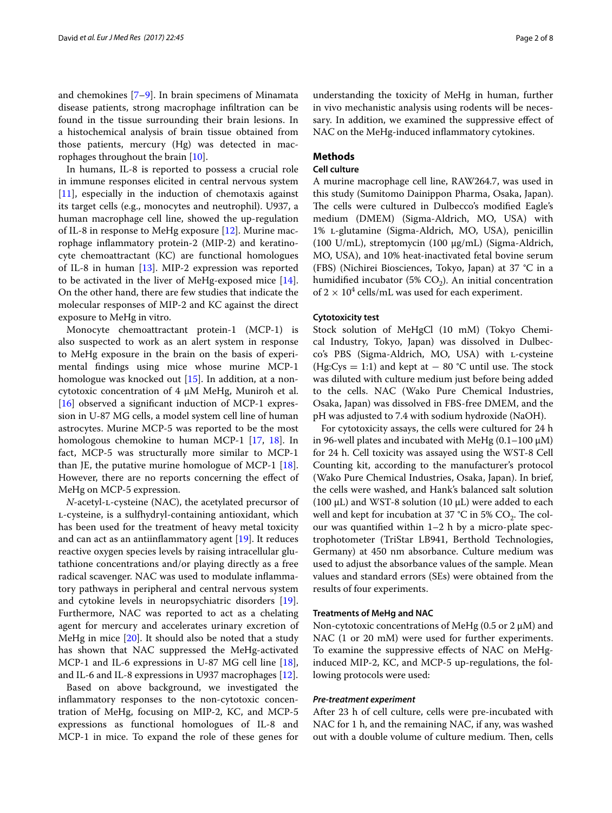and chemokines [\[7](#page-6-5)[–9](#page-6-6)]. In brain specimens of Minamata disease patients, strong macrophage infltration can be found in the tissue surrounding their brain lesions. In a histochemical analysis of brain tissue obtained from those patients, mercury (Hg) was detected in macrophages throughout the brain [\[10](#page-6-7)].

In humans, IL-8 is reported to possess a crucial role in immune responses elicited in central nervous system [[11\]](#page-6-8), especially in the induction of chemotaxis against its target cells (e.g., monocytes and neutrophil). U937, a human macrophage cell line, showed the up-regulation of IL-8 in response to MeHg exposure [[12\]](#page-6-9). Murine macrophage infammatory protein-2 (MIP-2) and keratinocyte chemoattractant (KC) are functional homologues of IL-8 in human [\[13](#page-6-10)]. MIP-2 expression was reported to be activated in the liver of MeHg-exposed mice [\[14](#page-6-11)]. On the other hand, there are few studies that indicate the molecular responses of MIP-2 and KC against the direct exposure to MeHg in vitro.

Monocyte chemoattractant protein-1 (MCP-1) is also suspected to work as an alert system in response to MeHg exposure in the brain on the basis of experimental fndings using mice whose murine MCP-1 homologue was knocked out [[15\]](#page-6-12). In addition, at a noncytotoxic concentration of 4 µM MeHg, Muniroh et al. [[16\]](#page-7-0) observed a significant induction of MCP-1 expression in U-87 MG cells, a model system cell line of human astrocytes. Murine MCP-5 was reported to be the most homologous chemokine to human MCP-1 [\[17](#page-7-1), [18\]](#page-7-2). In fact, MCP-5 was structurally more similar to MCP-1 than JE, the putative murine homologue of MCP-1 [\[18](#page-7-2)]. However, there are no reports concerning the efect of MeHg on MCP-5 expression.

*N*-acetyl-l-cysteine (NAC), the acetylated precursor of l-cysteine, is a sulfhydryl-containing antioxidant, which has been used for the treatment of heavy metal toxicity and can act as an antiinflammatory agent  $[19]$ . It reduces reactive oxygen species levels by raising intracellular glutathione concentrations and/or playing directly as a free radical scavenger. NAC was used to modulate infammatory pathways in peripheral and central nervous system and cytokine levels in neuropsychiatric disorders [\[19](#page-7-3)]. Furthermore, NAC was reported to act as a chelating agent for mercury and accelerates urinary excretion of MeHg in mice [\[20](#page-7-4)]. It should also be noted that a study has shown that NAC suppressed the MeHg-activated MCP-1 and IL-6 expressions in U-87 MG cell line [\[18](#page-7-2)], and IL-6 and IL-8 expressions in U937 macrophages [[12\]](#page-6-9).

Based on above background, we investigated the infammatory responses to the non-cytotoxic concentration of MeHg, focusing on MIP-2, KC, and MCP-5 expressions as functional homologues of IL-8 and MCP-1 in mice. To expand the role of these genes for

understanding the toxicity of MeHg in human, further in vivo mechanistic analysis using rodents will be necessary. In addition, we examined the suppressive efect of NAC on the MeHg-induced infammatory cytokines.

## **Methods**

## **Cell culture**

A murine macrophage cell line, RAW264.7, was used in this study (Sumitomo Dainippon Pharma, Osaka, Japan). The cells were cultured in Dulbecco's modified Eagle's medium (DMEM) (Sigma-Aldrich, MO, USA) with 1% l-glutamine (Sigma-Aldrich, MO, USA), penicillin (100 U/mL), streptomycin (100 µg/mL) (Sigma-Aldrich, MO, USA), and 10% heat-inactivated fetal bovine serum (FBS) (Nichirei Biosciences, Tokyo, Japan) at 37 °C in a humidified incubator (5%  $CO<sub>2</sub>$ ). An initial concentration of  $2 \times 10^4$  cells/mL was used for each experiment.

#### **Cytotoxicity test**

Stock solution of MeHgCl (10 mM) (Tokyo Chemical Industry, Tokyo, Japan) was dissolved in Dulbecco's PBS (Sigma-Aldrich, MO, USA) with l-cysteine (Hg:Cys = 1:1) and kept at  $-$  80 °C until use. The stock was diluted with culture medium just before being added to the cells. NAC (Wako Pure Chemical Industries, Osaka, Japan) was dissolved in FBS-free DMEM, and the pH was adjusted to 7.4 with sodium hydroxide (NaOH).

For cytotoxicity assays, the cells were cultured for 24 h in 96-well plates and incubated with MeHg  $(0.1-100 \mu M)$ for 24 h. Cell toxicity was assayed using the WST-8 Cell Counting kit, according to the manufacturer's protocol (Wako Pure Chemical Industries, Osaka, Japan). In brief, the cells were washed, and Hank's balanced salt solution (100  $\mu$ L) and WST-8 solution (10  $\mu$ L) were added to each well and kept for incubation at 37 °C in 5%  $CO_2$ . The colour was quantifed within 1–2 h by a micro-plate spectrophotometer (TriStar LB941, Berthold Technologies, Germany) at 450 nm absorbance. Culture medium was used to adjust the absorbance values of the sample. Mean values and standard errors (SEs) were obtained from the results of four experiments.

#### **Treatments of MeHg and NAC**

Non-cytotoxic concentrations of MeHg  $(0.5 \text{ or } 2 \mu M)$  and NAC (1 or 20 mM) were used for further experiments. To examine the suppressive efects of NAC on MeHginduced MIP-2, KC, and MCP-5 up-regulations, the following protocols were used:

## *Pre‑treatment experiment*

After 23 h of cell culture, cells were pre-incubated with NAC for 1 h, and the remaining NAC, if any, was washed out with a double volume of culture medium. Then, cells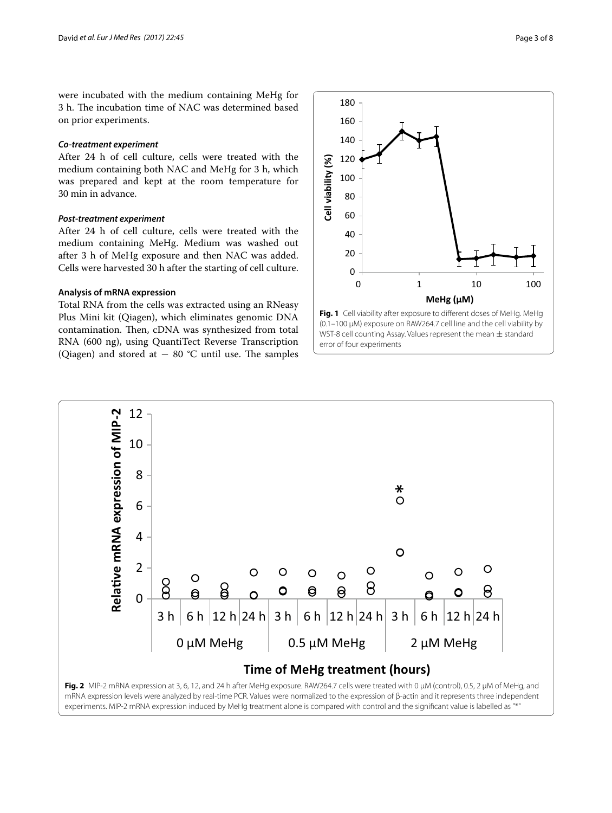were incubated with the medium containing MeHg for 3 h. The incubation time of NAC was determined based on prior experiments.

#### *Co‑treatment experiment*

After 24 h of cell culture, cells were treated with the medium containing both NAC and MeHg for 3 h, which was prepared and kept at the room temperature for 30 min in advance.

## *Post‑treatment experiment*

After 24 h of cell culture, cells were treated with the medium containing MeHg. Medium was washed out after 3 h of MeHg exposure and then NAC was added. Cells were harvested 30 h after the starting of cell culture.

## **Analysis of mRNA expression**

Total RNA from the cells was extracted using an RNeasy Plus Mini kit (Qiagen), which eliminates genomic DNA contamination. Then, cDNA was synthesized from total RNA (600 ng), using QuantiTect Reverse Transcription (Qiagen) and stored at  $-$  80 °C until use. The samples



<span id="page-2-0"></span>



<span id="page-2-1"></span>experiments. MIP-2 mRNA expression induced by MeHg treatment alone is compared with control and the significant value is labelled as "\*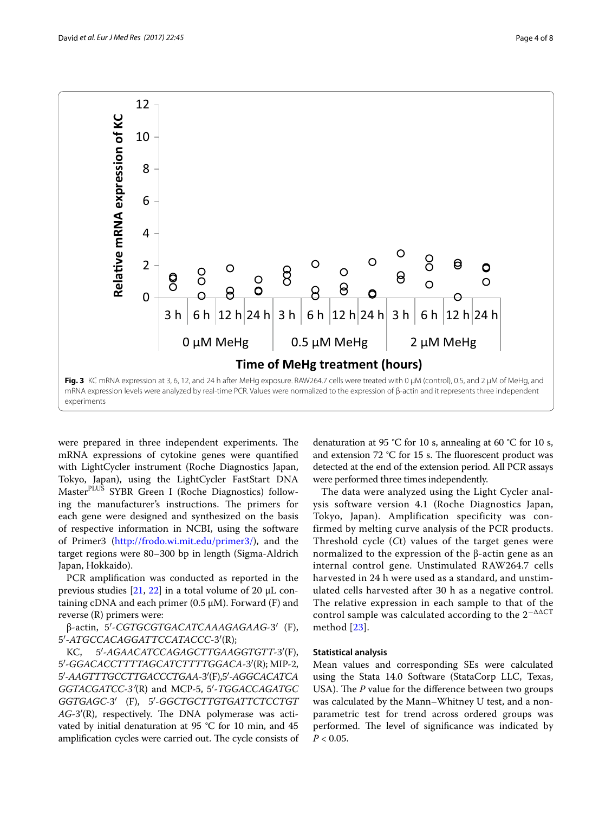

<span id="page-3-0"></span>were prepared in three independent experiments. The mRNA expressions of cytokine genes were quantifed with LightCycler instrument (Roche Diagnostics Japan, Tokyo, Japan), using the LightCycler FastStart DNA MasterPLUS SYBR Green I (Roche Diagnostics) following the manufacturer's instructions. The primers for each gene were designed and synthesized on the basis of respective information in NCBI, using the software of Primer3 ([http://frodo.wi.mit.edu/primer3/\)](http://frodo.wi.mit.edu/primer3/), and the target regions were 80–300 bp in length (Sigma-Aldrich Japan, Hokkaido).

PCR amplification was conducted as reported in the previous studies  $[21, 22]$  $[21, 22]$  $[21, 22]$  $[21, 22]$  in a total volume of 20  $\mu$ L containing cDNA and each primer  $(0.5 \mu M)$ . Forward  $(F)$  and reverse (R) primers were:

β-actin, 5′-*CGTGCGTGACATCAAAGAGAAG*-3′ (F), 5′-*ATGCCACAGGATTCCATACCC*-3′(R);

KC, 5′-*AGAACATCCAGAGCTTGAAGGTGTT*-3′(F), 5′-*GGACACCTTTTAGCATCTTTTGGACA*-3′(R); MIP-2, 5′-*AAGTTTGCCTTGACCCTGAA*-3′(F), 5′-*AGGCACATCA GGTACGATCC*-*3′*(R) and MCP-5, 5′-*TGGACCAGATGC GGTGAGC*-3′ (F), 5′-*GGCTGCTTGTGATTCTCCTGT*  $AG-3'(R)$ , respectively. The DNA polymerase was activated by initial denaturation at 95 °C for 10 min, and 45 amplification cycles were carried out. The cycle consists of

denaturation at 95 °C for 10 s, annealing at 60 °C for 10 s, and extension 72  $°C$  for 15 s. The fluorescent product was detected at the end of the extension period. All PCR assays were performed three times independently.

The data were analyzed using the Light Cycler analysis software version 4.1 (Roche Diagnostics Japan, Tokyo, Japan). Amplification specificity was confirmed by melting curve analysis of the PCR products. Threshold cycle (*C*t) values of the target genes were normalized to the expression of the β-actin gene as an internal control gene. Unstimulated RAW264.7 cells harvested in 24 h were used as a standard, and unstimulated cells harvested after 30 h as a negative control. The relative expression in each sample to that of the control sample was calculated according to the  $2^{-\Delta\Delta CT}$ method [[23\]](#page-7-7).

#### **Statistical analysis**

Mean values and corresponding SEs were calculated using the Stata 14.0 Software (StataCorp LLC, Texas, USA). The *P* value for the difference between two groups was calculated by the Mann–Whitney U test, and a nonparametric test for trend across ordered groups was performed. The level of significance was indicated by  $P < 0.05$ .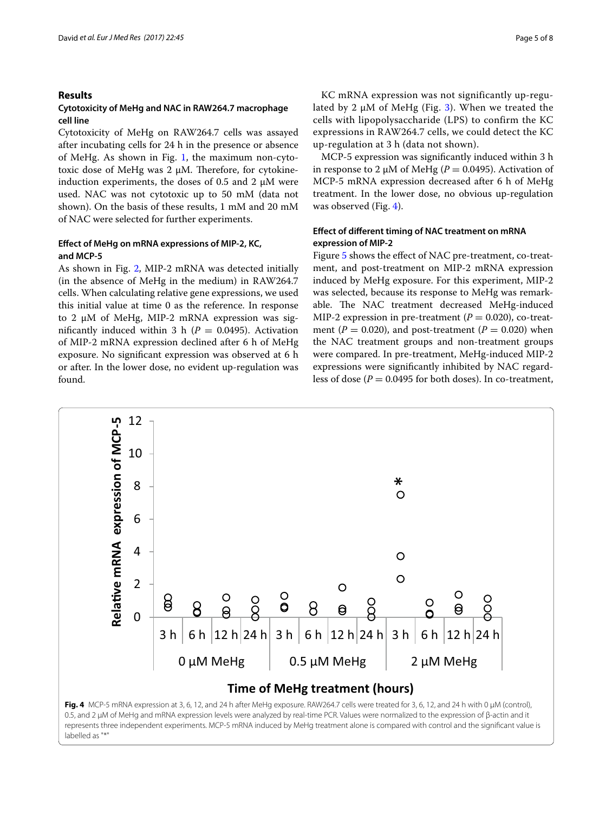## **Results**

## **Cytotoxicity of MeHg and NAC in RAW264.7 macrophage cell line**

Cytotoxicity of MeHg on RAW264.7 cells was assayed after incubating cells for 24 h in the presence or absence of MeHg. As shown in Fig. [1](#page-2-0), the maximum non-cytotoxic dose of MeHg was  $2 \mu$ M. Therefore, for cytokineinduction experiments, the doses of 0.5 and 2  $\mu$ M were used. NAC was not cytotoxic up to 50 mM (data not shown). On the basis of these results, 1 mM and 20 mM of NAC were selected for further experiments.

## **Efect of MeHg on mRNA expressions of MIP‑2, KC, and MCP‑5**

As shown in Fig. [2](#page-2-1), MIP-2 mRNA was detected initially (in the absence of MeHg in the medium) in RAW264.7 cells. When calculating relative gene expressions, we used this initial value at time 0 as the reference. In response to 2 μM of MeHg, MIP-2 mRNA expression was significantly induced within 3 h ( $P = 0.0495$ ). Activation of MIP-2 mRNA expression declined after 6 h of MeHg exposure. No signifcant expression was observed at 6 h or after. In the lower dose, no evident up-regulation was found.

KC mRNA expression was not significantly up-regulated by 2  $\mu$ M of MeHg (Fig. [3\)](#page-3-0). When we treated the cells with lipopolysaccharide (LPS) to confirm the KC expressions in RAW264.7 cells, we could detect the KC up-regulation at 3 h (data not shown).

MCP-5 expression was signifcantly induced within 3 h in response to 2  $\mu$ M of MeHg ( $P = 0.0495$ ). Activation of MCP-5 mRNA expression decreased after 6 h of MeHg treatment. In the lower dose, no obvious up-regulation was observed (Fig. [4](#page-4-0)).

## **Efect of diferent timing of NAC treatment on mRNA expression of MIP‑2**

Figure [5](#page-5-0) shows the efect of NAC pre-treatment, co-treatment, and post-treatment on MIP-2 mRNA expression induced by MeHg exposure. For this experiment, MIP-2 was selected, because its response to MeHg was remarkable. The NAC treatment decreased MeHg-induced MIP-2 expression in pre-treatment  $(P = 0.020)$ , co-treatment ( $P = 0.020$ ), and post-treatment ( $P = 0.020$ ) when the NAC treatment groups and non-treatment groups were compared. In pre-treatment, MeHg-induced MIP-2 expressions were signifcantly inhibited by NAC regardless of dose  $(P = 0.0495$  for both doses). In co-treatment,



<span id="page-4-0"></span>labelled as "\*"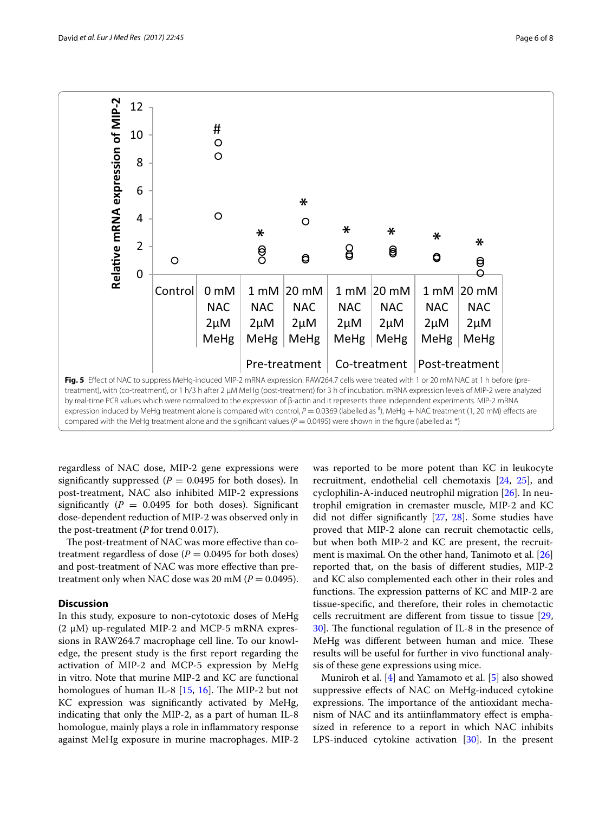

<span id="page-5-0"></span>regardless of NAC dose, MIP-2 gene expressions were significantly suppressed ( $P = 0.0495$  for both doses). In post-treatment, NAC also inhibited MIP-2 expressions significantly  $(P = 0.0495)$  for both doses). Significant dose-dependent reduction of MIP-2 was observed only in the post-treatment (*P* for trend 0.017).

The post-treatment of NAC was more effective than cotreatment regardless of dose  $(P = 0.0495$  for both doses) and post-treatment of NAC was more efective than pretreatment only when NAC dose was 20 mM ( $P = 0.0495$ ).

## **Discussion**

In this study, exposure to non-cytotoxic doses of MeHg  $(2 \mu M)$  up-regulated MIP-2 and MCP-5 mRNA expressions in RAW264.7 macrophage cell line. To our knowledge, the present study is the frst report regarding the activation of MIP-2 and MCP-5 expression by MeHg in vitro. Note that murine MIP-2 and KC are functional homologues of human IL-8  $[15, 16]$  $[15, 16]$  $[15, 16]$ . The MIP-2 but not KC expression was signifcantly activated by MeHg, indicating that only the MIP-2, as a part of human IL-8 homologue, mainly plays a role in infammatory response against MeHg exposure in murine macrophages. MIP-2

was reported to be more potent than KC in leukocyte recruitment, endothelial cell chemotaxis [[24,](#page-7-8) [25\]](#page-7-9), and cyclophilin-A-induced neutrophil migration [[26\]](#page-7-10). In neutrophil emigration in cremaster muscle, MIP-2 and KC did not difer signifcantly [[27](#page-7-11), [28\]](#page-7-12). Some studies have proved that MIP-2 alone can recruit chemotactic cells, but when both MIP-2 and KC are present, the recruitment is maximal. On the other hand, Tanimoto et al. [[26](#page-7-10)] reported that, on the basis of diferent studies, MIP-2 and KC also complemented each other in their roles and functions. The expression patterns of KC and MIP-2 are tissue-specifc, and therefore, their roles in chemotactic cells recruitment are diferent from tissue to tissue [[29](#page-7-13), [30\]](#page-7-14). The functional regulation of IL-8 in the presence of MeHg was different between human and mice. These results will be useful for further in vivo functional analysis of these gene expressions using mice.

Muniroh et al. [\[4](#page-6-3)] and Yamamoto et al. [\[5](#page-6-13)] also showed suppressive efects of NAC on MeHg-induced cytokine expressions. The importance of the antioxidant mechanism of NAC and its antiinfammatory efect is emphasized in reference to a report in which NAC inhibits LPS-induced cytokine activation [[30\]](#page-7-14). In the present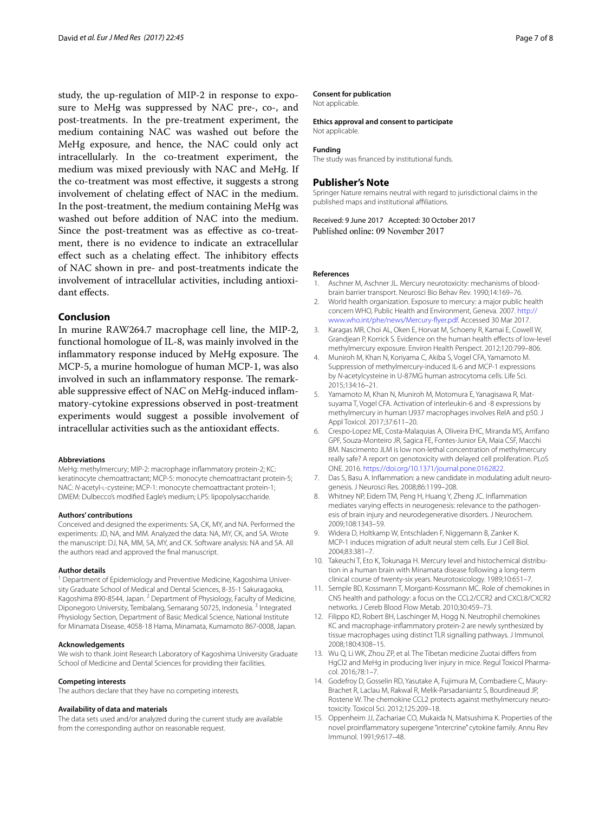study, the up-regulation of MIP-2 in response to exposure to MeHg was suppressed by NAC pre-, co-, and post-treatments. In the pre-treatment experiment, the medium containing NAC was washed out before the MeHg exposure, and hence, the NAC could only act intracellularly. In the co-treatment experiment, the medium was mixed previously with NAC and MeHg. If the co-treatment was most efective, it suggests a strong involvement of chelating efect of NAC in the medium. In the post-treatment, the medium containing MeHg was washed out before addition of NAC into the medium. Since the post-treatment was as efective as co-treatment, there is no evidence to indicate an extracellular effect such as a chelating effect. The inhibitory effects of NAC shown in pre- and post-treatments indicate the involvement of intracellular activities, including antioxidant effects.

## **Conclusion**

In murine RAW264.7 macrophage cell line, the MIP-2, functional homologue of IL-8, was mainly involved in the inflammatory response induced by MeHg exposure. The MCP-5, a murine homologue of human MCP-1, was also involved in such an inflammatory response. The remarkable suppressive efect of NAC on MeHg-induced infammatory-cytokine expressions observed in post-treatment experiments would suggest a possible involvement of intracellular activities such as the antioxidant effects.

#### **Abbreviations**

MeHg: methylmercury; MIP-2: macrophage infammatory protein-2; KC: keratinocyte chemoattractant; MCP-5: monocyte chemoattractant protein-5; NAC: *N*-acetyl-l-cysteine; MCP-1: monocyte chemoattractant protein-1; DMEM: Dulbecco's modifed Eagle's medium; LPS: lipopolysaccharide.

#### **Authors' contributions**

Conceived and designed the experiments: SA, CK, MY, and NA. Performed the experiments: JD, NA, and MM. Analyzed the data: NA, MY, CK, and SA. Wrote the manuscript: DJ, NA, MM, SA, MY, and CK. Software analysis: NA and SA. All the authors read and approved the fnal manuscript.

#### **Author details**

<sup>1</sup> Department of Epidemiology and Preventive Medicine, Kagoshima University Graduate School of Medical and Dental Sciences, 8-35-1 Sakuragaoka, Kagoshima 890-8544, Japan. <sup>2</sup> Department of Physiology, Faculty of Medicine, Diponegoro University, Tembalang, Semarang 50725, Indonesia. 3 Integrated Physiology Section, Department of Basic Medical Science, National Institute for Minamata Disease, 4058-18 Hama, Minamata, Kumamoto 867-0008, Japan.

#### **Acknowledgements**

We wish to thank Joint Research Laboratory of Kagoshima University Graduate School of Medicine and Dental Sciences for providing their facilities.

#### **Competing interests**

The authors declare that they have no competing interests.

#### **Availability of data and materials**

The data sets used and/or analyzed during the current study are available from the corresponding author on reasonable request.

#### **Consent for publication**

Not applicable.

#### **Ethics approval and consent to participate**

Not applicable.

#### **Funding**

The study was fnanced by institutional funds.

#### **Publisher's Note**

Springer Nature remains neutral with regard to jurisdictional claims in the published maps and institutional affiliations.

Received: 9 June 2017 Accepted: 30 October 2017 Published online: 09 November 2017

#### **References**

- <span id="page-6-0"></span>1. Aschner M, Aschner JL. Mercury neurotoxicity: mechanisms of bloodbrain barrier transport. Neurosci Bio Behav Rev. 1990;14:169–76.
- <span id="page-6-1"></span>2. World health organization. Exposure to mercury: a major public health concern WHO, Public Health and Environment, Geneva. 2007. [http://](http://www.who.int/phe/news/Mercury-flyer.pdf) [www.who.int/phe/news/Mercury-fyer.pdf.](http://www.who.int/phe/news/Mercury-flyer.pdf) Accessed 30 Mar 2017.
- <span id="page-6-2"></span>3. Karagas MR, Choi AL, Oken E, Horvat M, Schoeny R, Kamai E, Cowell W, Grandjean P, Korrick S. Evidence on the human health efects of low-level methylmercury exposure. Environ Health Perspect. 2012;120:799–806.
- <span id="page-6-3"></span>4. Muniroh M, Khan N, Koriyama C, Akiba S, Vogel CFA, Yamamoto M. Suppression of methylmercury-induced IL-6 and MCP-1 expressions by *N*-acetylcysteine in U-87MG human astrocytoma cells. Life Sci. 2015;134:16–21.
- <span id="page-6-13"></span>5. Yamamoto M, Khan N, Muniroh M, Motomura E, Yanagisawa R, Matsuyama T, Vogel CFA. Activation of interleukin-6 and -8 expressions by methylmercury in human U937 macrophages involves RelA and p50. J Appl Toxicol. 2017;37:611–20.
- <span id="page-6-4"></span>6. Crespo-Lopez ME, Costa-Malaquias A, Oliveira EHC, Miranda MS, Arrifano GPF, Souza-Monteiro JR, Sagica FE, Fontes-Junior EA, Maia CSF, Macchi BM. Nascimento JLM is low non-lethal concentration of methylmercury really safe? A report on genotoxicity with delayed cell proliferation. PLoS ONE. 2016. <https://doi.org/10.1371/journal.pone.0162822>.
- <span id="page-6-5"></span>7. Das S, Basu A. Infammation: a new candidate in modulating adult neurogenesis. J Neurosci Res. 2008;86:1199–208.
- 8. Whitney NP, Eidem TM, Peng H, Huang Y, Zheng JC. Infammation mediates varying efects in neurogenesis: relevance to the pathogenesis of brain injury and neurodegenerative disorders. J Neurochem. 2009;108:1343–59.
- <span id="page-6-6"></span>9. Widera D, Holtkamp W, Entschladen F, Niggemann B, Zanker K. MCP-1 induces migration of adult neural stem cells. Eur J Cell Biol. 2004;83:381–7.
- <span id="page-6-7"></span>10. Takeuchi T, Eto K, Tokunaga H. Mercury level and histochemical distribution in a human brain with Minamata disease following a long-term clinical course of twenty-six years. Neurotoxicology. 1989;10:651–7.
- <span id="page-6-8"></span>11. Semple BD, Kossmann T, Morganti-Kossmann MC. Role of chemokines in CNS health and pathology: a focus on the CCL2/CCR2 and CXCL8/CXCR2 networks. J Cereb Blood Flow Metab. 2010;30:459–73.
- <span id="page-6-9"></span>12. Filippo KD, Robert BH, Laschinger M, Hogg N. Neutrophil chemokines KC and macrophage-infammatory protein-2 are newly synthesized by tissue macrophages using distinct TLR signalling pathways. J Immunol. 2008;180:4308–15.
- <span id="page-6-10"></span>13. Wu Q, Li WK, Zhou ZP, et al. The Tibetan medicine Zuotai difers from HgCl2 and MeHg in producing liver injury in mice. Regul Toxicol Pharmacol. 2016;78:1–7.
- <span id="page-6-11"></span>14. Godefroy D, Gosselin RD, Yasutake A, Fujimura M, Combadiere C, Maury-Brachet R, Laclau M, Rakwal R, Melik-Parsadaniantz S, Bourdineaud JP, Rostene W. The chemokine CCL2 protects against methylmercury neurotoxicity. Toxicol Sci. 2012;125:209–18.
- <span id="page-6-12"></span>15. Oppenheim JJ, Zachariae CO, Mukaida N, Matsushima K. Properties of the novel proinfammatory supergene ''intercrine'' cytokine family. Annu Rev Immunol. 1991;9:617–48.